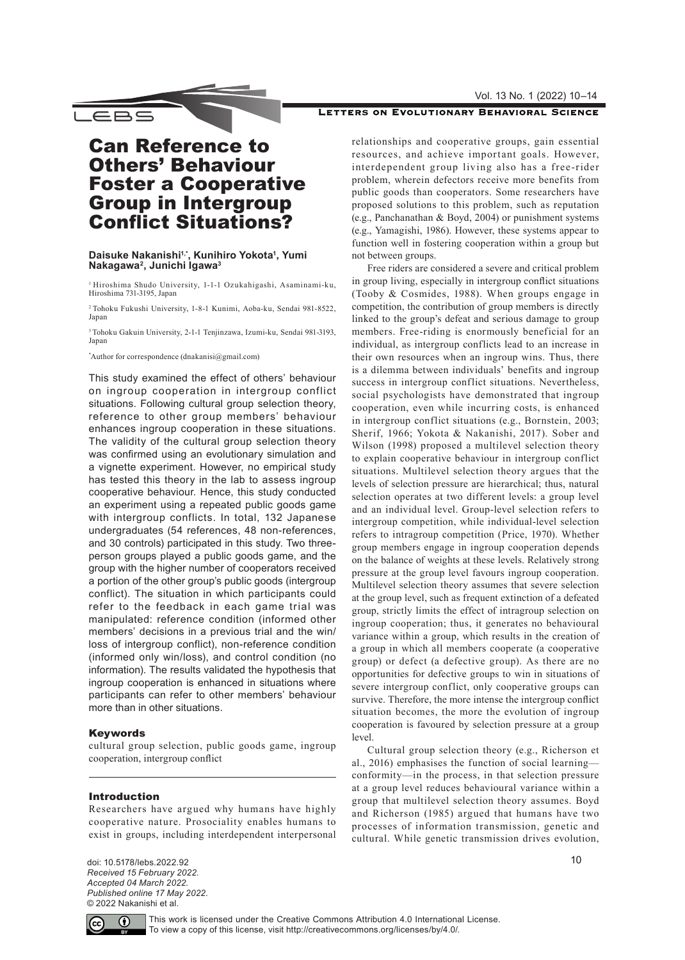## Vol. 13 No. 1 (2022) 10–14

# LETTERS ON EVOLUTIONARY BEHAVIORAL SCIENCE

# Can Reference to Others' Behaviour Foster a Cooperative Group in Intergroup Conflict Situations?

\_EBS

## **Daisuke Nakanishi1,\*, Kunihiro Yokota1 , Yumi Nakagawa2, Junichi Igawa3**

1 Hiroshima Shudo University, 1-1-1 Ozukahigashi, Asaminami-ku, Hiroshima 731-3195, Japan

2 Tohoku Fukushi University, 1-8-1 Kunimi, Aoba-ku, Sendai 981-8522, Japan

3 Tohoku Gakuin University, 2-1-1 Tenjinzawa, Izumi-ku, Sendai 981-3193, Japan

\* Author for correspondence ([dnakanisi@gmail.com\)](mailto:dnakanisi%40gmail.com?subject=)

This study examined the effect of others' behaviour on ingroup cooperation in intergroup conflict situations. Following cultural group selection theory, reference to other group members' behaviour enhances ingroup cooperation in these situations. The validity of the cultural group selection theory was confirmed using an evolutionary simulation and a vignette experiment. However, no empirical study has tested this theory in the lab to assess ingroup cooperative behaviour. Hence, this study conducted an experiment using a repeated public goods game with intergroup conflicts. In total, 132 Japanese undergraduates (54 references, 48 non-references, and 30 controls) participated in this study. Two threeperson groups played a public goods game, and the group with the higher number of cooperators received a portion of the other group's public goods (intergroup conflict). The situation in which participants could refer to the feedback in each game trial was manipulated: reference condition (informed other members' decisions in a previous trial and the win/ loss of intergroup conflict), non-reference condition (informed only win/loss), and control condition (no information). The results validated the hypothesis that ingroup cooperation is enhanced in situations where participants can refer to other members' behaviour more than in other situations.

# Keywords

cultural group selection, public goods game, ingroup cooperation, intergroup conflict

Introduction

Researchers have argued why humans have highly cooperative nature. Prosociality enables humans to exist in groups, including interdependent interpersonal

doi: 10.5178/lebs.2022.92 *Received 15 February 2022. Accepted 04 March 2022. Published online 17 May 2022.* © 2022 Nakanishi et al.

relationships and cooperative groups, gain essential resources, and achieve important goals. However, interdependent group living also has a free-rider problem, wherein defectors receive more benefits from public goods than cooperators. Some researchers have proposed solutions to this problem, such as reputation (e.g., Panchanathan & Boyd, 2004) or punishment systems (e.g., Yamagishi, 1986). However, these systems appear to function well in fostering cooperation within a group but not between groups.

Free riders are considered a severe and critical problem in group living, especially in intergroup conflict situations (Tooby & Cosmides, 1988). When groups engage in competition, the contribution of group members is directly linked to the group's defeat and serious damage to group members. Free-riding is enormously beneficial for an individual, as intergroup conflicts lead to an increase in their own resources when an ingroup wins. Thus, there is a dilemma between individuals' benefits and ingroup success in intergroup conflict situations. Nevertheless, social psychologists have demonstrated that ingroup cooperation, even while incurring costs, is enhanced in intergroup conflict situations (e.g., Bornstein, 2003; Sherif, 1966; Yokota & Nakanishi, 2017). Sober and Wilson (1998) proposed a multilevel selection theory to explain cooperative behaviour in intergroup conflict situations. Multilevel selection theory argues that the levels of selection pressure are hierarchical; thus, natural selection operates at two different levels: a group level and an individual level. Group-level selection refers to intergroup competition, while individual-level selection refers to intragroup competition (Price, 1970). Whether group members engage in ingroup cooperation depends on the balance of weights at these levels. Relatively strong pressure at the group level favours ingroup cooperation. Multilevel selection theory assumes that severe selection at the group level, such as frequent extinction of a defeated group, strictly limits the effect of intragroup selection on ingroup cooperation; thus, it generates no behavioural variance within a group, which results in the creation of a group in which all members cooperate (a cooperative group) or defect (a defective group). As there are no opportunities for defective groups to win in situations of severe intergroup conflict, only cooperative groups can survive. Therefore, the more intense the intergroup conflict situation becomes, the more the evolution of ingroup cooperation is favoured by selection pressure at a group level.

Cultural group selection theory (e.g., Richerson et al., 2016) emphasises the function of social learning conformity—in the process, in that selection pressure at a group level reduces behavioural variance within a group that multilevel selection theory assumes. Boyd and Richerson (1985) argued that humans have two processes of information transmission, genetic and cultural. While genetic transmission drives evolution,

10



This work is licensed under the Creative Commons Attribution 4.0 International License. To view a copy of this license, visit <http://creativecommons.org/licenses/by/4.0/>.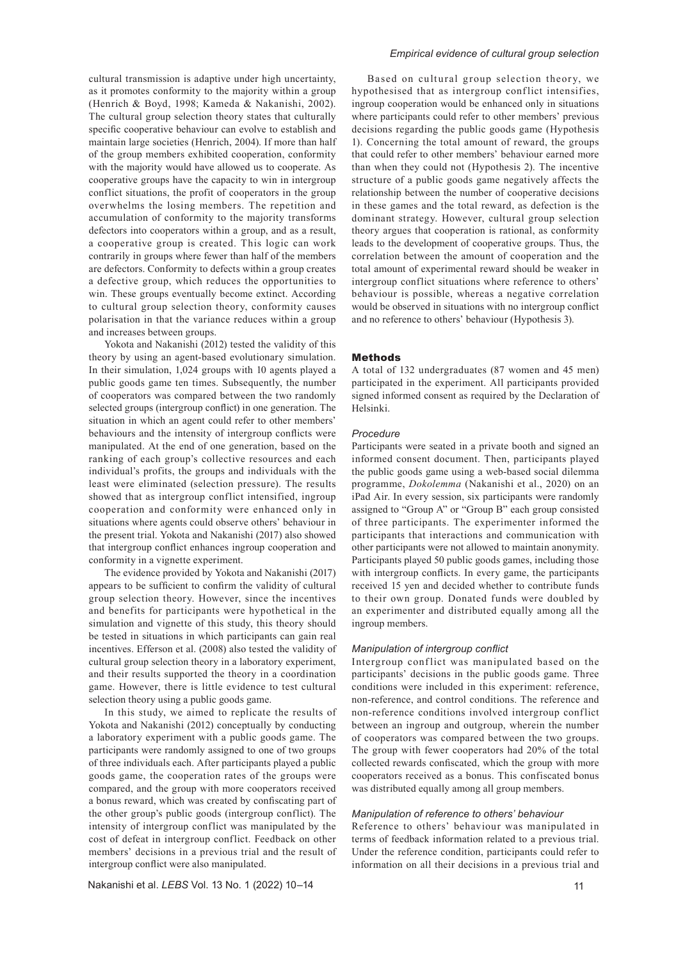cultural transmission is adaptive under high uncertainty, as it promotes conformity to the majority within a group (Henrich & Boyd, 1998; Kameda & Nakanishi, 2002). The cultural group selection theory states that culturally specific cooperative behaviour can evolve to establish and maintain large societies (Henrich, 2004). If more than half of the group members exhibited cooperation, conformity with the majority would have allowed us to cooperate. As cooperative groups have the capacity to win in intergroup conflict situations, the profit of cooperators in the group overwhelms the losing members. The repetition and accumulation of conformity to the majority transforms defectors into cooperators within a group, and as a result, a cooperative group is created. This logic can work contrarily in groups where fewer than half of the members are defectors. Conformity to defects within a group creates a defective group, which reduces the opportunities to win. These groups eventually become extinct. According to cultural group selection theory, conformity causes polarisation in that the variance reduces within a group and increases between groups.

Yokota and Nakanishi (2012) tested the validity of this theory by using an agent-based evolutionary simulation. In their simulation, 1,024 groups with 10 agents played a public goods game ten times. Subsequently, the number of cooperators was compared between the two randomly selected groups (intergroup conflict) in one generation. The situation in which an agent could refer to other members' behaviours and the intensity of intergroup conflicts were manipulated. At the end of one generation, based on the ranking of each group's collective resources and each individual's profits, the groups and individuals with the least were eliminated (selection pressure). The results showed that as intergroup conflict intensified, ingroup cooperation and conformity were enhanced only in situations where agents could observe others' behaviour in the present trial. Yokota and Nakanishi (2017) also showed that intergroup conflict enhances ingroup cooperation and conformity in a vignette experiment.

The evidence provided by Yokota and Nakanishi (2017) appears to be sufficient to confirm the validity of cultural group selection theory. However, since the incentives and benefits for participants were hypothetical in the simulation and vignette of this study, this theory should be tested in situations in which participants can gain real incentives. Efferson et al. (2008) also tested the validity of cultural group selection theory in a laboratory experiment, and their results supported the theory in a coordination game. However, there is little evidence to test cultural selection theory using a public goods game.

In this study, we aimed to replicate the results of Yokota and Nakanishi (2012) conceptually by conducting a laboratory experiment with a public goods game. The participants were randomly assigned to one of two groups of three individuals each. After participants played a public goods game, the cooperation rates of the groups were compared, and the group with more cooperators received a bonus reward, which was created by confiscating part of the other group's public goods (intergroup conflict). The intensity of intergroup conflict was manipulated by the cost of defeat in intergroup conflict. Feedback on other members' decisions in a previous trial and the result of intergroup conflict were also manipulated.

#### *Empirical evidence of cultural group selection*

Based on cultural group selection theory, we hypothesised that as intergroup conflict intensifies, ingroup cooperation would be enhanced only in situations where participants could refer to other members' previous decisions regarding the public goods game (Hypothesis 1). Concerning the total amount of reward, the groups that could refer to other members' behaviour earned more than when they could not (Hypothesis 2). The incentive structure of a public goods game negatively affects the relationship between the number of cooperative decisions in these games and the total reward, as defection is the dominant strategy. However, cultural group selection theory argues that cooperation is rational, as conformity leads to the development of cooperative groups. Thus, the correlation between the amount of cooperation and the total amount of experimental reward should be weaker in intergroup conflict situations where reference to others' behaviour is possible, whereas a negative correlation would be observed in situations with no intergroup conflict and no reference to others' behaviour (Hypothesis 3).

#### **Methods**

A total of 132 undergraduates (87 women and 45 men) participated in the experiment. All participants provided signed informed consent as required by the Declaration of Helsinki.

# *Procedure*

Participants were seated in a private booth and signed an informed consent document. Then, participants played the public goods game using a web-based social dilemma programme, *Dokolemma* (Nakanishi et al., 2020) on an iPad Air. In every session, six participants were randomly assigned to "Group A" or "Group B" each group consisted of three participants. The experimenter informed the participants that interactions and communication with other participants were not allowed to maintain anonymity. Participants played 50 public goods games, including those with intergroup conflicts. In every game, the participants received 15 yen and decided whether to contribute funds to their own group. Donated funds were doubled by an experimenter and distributed equally among all the ingroup members.

## *Manipulation of intergroup conflict*

Intergroup conflict was manipulated based on the participants' decisions in the public goods game. Three conditions were included in this experiment: reference, non-reference, and control conditions. The reference and non-reference conditions involved intergroup conflict between an ingroup and outgroup, wherein the number of cooperators was compared between the two groups. The group with fewer cooperators had 20% of the total collected rewards confiscated, which the group with more cooperators received as a bonus. This confiscated bonus was distributed equally among all group members.

#### *Manipulation of reference to others' behaviour*

Reference to others' behaviour was manipulated in terms of feedback information related to a previous trial. Under the reference condition, participants could refer to information on all their decisions in a previous trial and

Nakanishi et al. *LEBS* Vol. 13 No. 1 (2022) 10–14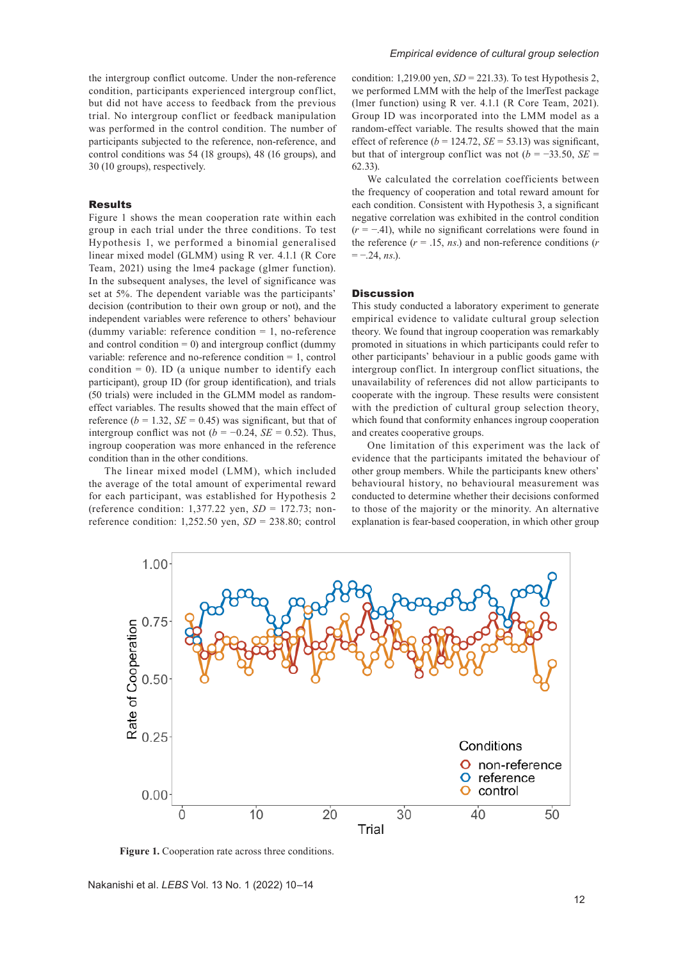the intergroup conflict outcome. Under the non-reference condition, participants experienced intergroup conflict, but did not have access to feedback from the previous trial. No intergroup conflict or feedback manipulation was performed in the control condition. The number of participants subjected to the reference, non-reference, and control conditions was 54 (18 groups), 48 (16 groups), and 30 (10 groups), respectively.

# Results

Figure 1 shows the mean cooperation rate within each group in each trial under the three conditions. To test Hypothesis 1, we performed a binomial generalised linear mixed model (GLMM) using R ver. 4.1.1 (R Core Team, 2021) using the lme4 package (glmer function). In the subsequent analyses, the level of significance was set at 5%. The dependent variable was the participants' decision (contribution to their own group or not), and the independent variables were reference to others' behaviour (dummy variable: reference condition  $= 1$ , no-reference and control condition  $= 0$ ) and intergroup conflict (dummy variable: reference and no-reference condition = 1, control condition  $= 0$ ). ID (a unique number to identify each participant), group ID (for group identification), and trials (50 trials) were included in the GLMM model as randomeffect variables. The results showed that the main effect of reference  $(b = 1.32, SE = 0.45)$  was significant, but that of intergroup conflict was not  $(b = -0.24, SE = 0.52)$ . Thus, ingroup cooperation was more enhanced in the reference condition than in the other conditions.

The linear mixed model (LMM), which included the average of the total amount of experimental reward for each participant, was established for Hypothesis 2 (reference condition: 1,377.22 yen, *SD* = 172.73; nonreference condition: 1,252.50 yen, *SD* = 238.80; control condition: 1,219.00 yen, *SD* = 221.33). To test Hypothesis 2, we performed LMM with the help of the lmerTest package (lmer function) using R ver. 4.1.1 (R Core Team, 2021). Group ID was incorporated into the LMM model as a random-effect variable. The results showed that the main effect of reference  $(b = 124.72, SE = 53.13)$  was significant, but that of intergroup conflict was not  $(b = -33.50, SE =$ 62.33).

We calculated the correlation coefficients between the frequency of cooperation and total reward amount for each condition. Consistent with Hypothesis 3, a significant negative correlation was exhibited in the control condition (*r* = −.41), while no significant correlations were found in the reference  $(r = .15, ns.)$  and non-reference conditions  $(r)$  $=-.24, ns.$ ).

## **Discussion**

This study conducted a laboratory experiment to generate empirical evidence to validate cultural group selection theory. We found that ingroup cooperation was remarkably promoted in situations in which participants could refer to other participants' behaviour in a public goods game with intergroup conflict. In intergroup conflict situations, the unavailability of references did not allow participants to cooperate with the ingroup. These results were consistent with the prediction of cultural group selection theory, which found that conformity enhances ingroup cooperation and creates cooperative groups.

One limitation of this experiment was the lack of evidence that the participants imitated the behaviour of other group members. While the participants knew others' behavioural history, no behavioural measurement was conducted to determine whether their decisions conformed to those of the majority or the minority. An alternative explanation is fear-based cooperation, in which other group



Figure 1. Cooperation rate across three conditions.

Nakanishi et al. *LEBS* Vol. 13 No. 1 (2022) 10–14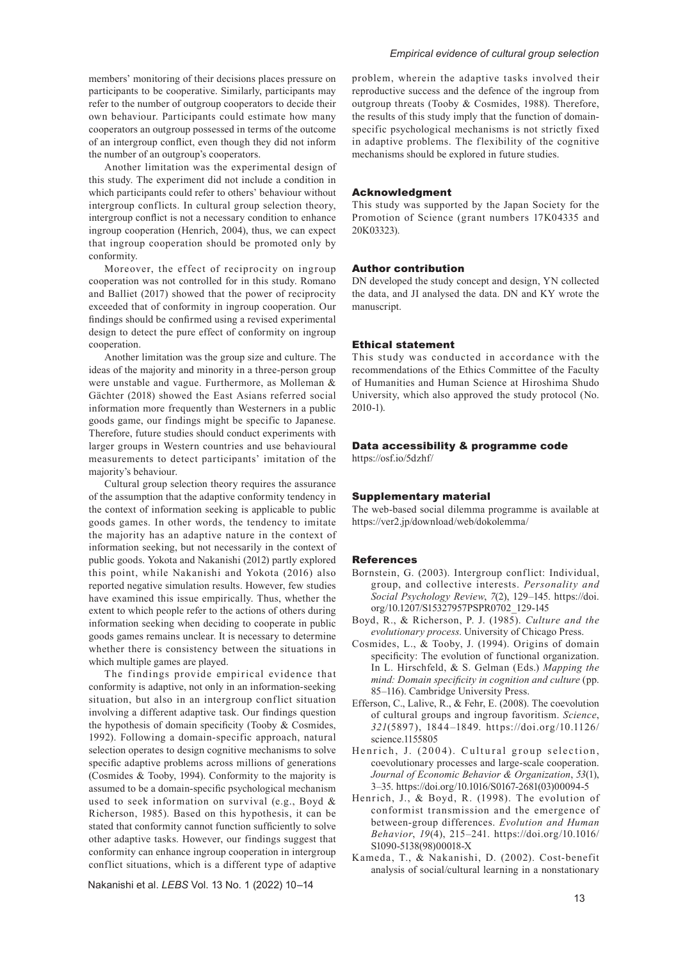members' monitoring of their decisions places pressure on participants to be cooperative. Similarly, participants may refer to the number of outgroup cooperators to decide their own behaviour. Participants could estimate how many cooperators an outgroup possessed in terms of the outcome of an intergroup conflict, even though they did not inform the number of an outgroup's cooperators.

Another limitation was the experimental design of this study. The experiment did not include a condition in which participants could refer to others' behaviour without intergroup conflicts. In cultural group selection theory, intergroup conflict is not a necessary condition to enhance ingroup cooperation (Henrich, 2004), thus, we can expect that ingroup cooperation should be promoted only by conformity.

Moreover, the effect of reciprocity on ingroup cooperation was not controlled for in this study. Romano and Balliet (2017) showed that the power of reciprocity exceeded that of conformity in ingroup cooperation. Our findings should be confirmed using a revised experimental design to detect the pure effect of conformity on ingroup cooperation.

Another limitation was the group size and culture. The ideas of the majority and minority in a three-person group were unstable and vague. Furthermore, as Molleman & Gächter (2018) showed the East Asians referred social information more frequently than Westerners in a public goods game, our findings might be specific to Japanese. Therefore, future studies should conduct experiments with larger groups in Western countries and use behavioural measurements to detect participants' imitation of the majority's behaviour.

Cultural group selection theory requires the assurance of the assumption that the adaptive conformity tendency in the context of information seeking is applicable to public goods games. In other words, the tendency to imitate the majority has an adaptive nature in the context of information seeking, but not necessarily in the context of public goods. Yokota and Nakanishi (2012) partly explored this point, while Nakanishi and Yokota (2016) also reported negative simulation results. However, few studies have examined this issue empirically. Thus, whether the extent to which people refer to the actions of others during information seeking when deciding to cooperate in public goods games remains unclear. It is necessary to determine whether there is consistency between the situations in which multiple games are played.

The findings provide empirical evidence that conformity is adaptive, not only in an information-seeking situation, but also in an intergroup conflict situation involving a different adaptive task. Our findings question the hypothesis of domain specificity (Tooby & Cosmides, 1992). Following a domain-specific approach, natural selection operates to design cognitive mechanisms to solve specific adaptive problems across millions of generations (Cosmides & Tooby, 1994). Conformity to the majority is assumed to be a domain-specific psychological mechanism used to seek information on survival (e.g., Boyd & Richerson, 1985). Based on this hypothesis, it can be stated that conformity cannot function sufficiently to solve other adaptive tasks. However, our findings suggest that conformity can enhance ingroup cooperation in intergroup conflict situations, which is a different type of adaptive

Nakanishi et al. *LEBS* Vol. 13 No. 1 (2022) 10–14

problem, wherein the adaptive tasks involved their reproductive success and the defence of the ingroup from outgroup threats (Tooby & Cosmides, 1988). Therefore, the results of this study imply that the function of domainspecific psychological mechanisms is not strictly fixed in adaptive problems. The flexibility of the cognitive mechanisms should be explored in future studies.

## Acknowledgment

This study was supported by the Japan Society for the Promotion of Science (grant numbers 17K04335 and 20K03323).

# Author contribution

DN developed the study concept and design, YN collected the data, and JI analysed the data. DN and KY wrote the manuscript.

## Ethical statement

This study was conducted in accordance with the recommendations of the Ethics Committee of the Faculty of Humanities and Human Science at Hiroshima Shudo University, which also approved the study protocol (No. 2010-1).

# Data accessibility & programme code

<https://osf.io/5dzhf/>

## Supplementary material

The web-based social dilemma programme is available at <https://ver2.jp/download/web/dokolemma/>

# References

- Bornstein, G. (2003). Intergroup conflict: Individual, group, and collective interests. *Personality and Social Psychology Review*, *7*(2), 129–145. [https://doi.](https://doi.org/10.1207/S15327957PSPR0702_129-145) [org/10.1207/S15327957PSPR0702\\_129-145](https://doi.org/10.1207/S15327957PSPR0702_129-145)
- Boyd, R., & Richerson, P. J. (1985). *Culture and the evolutionary process*. University of Chicago Press.
- Cosmides, L., & Tooby, J. (1994). Origins of domain specificity: The evolution of functional organization. In L. Hirschfeld, & S. Gelman (Eds.) *Mapping the mind: Domain specificity in cognition and culture* (pp. 85–116). Cambridge University Press.
- Efferson, C., Lalive, R., & Fehr, E. (2008). The coevolution of cultural groups and ingroup favoritism. *Science*, *321*(5897), 1844–1849. [https://doi.org/10.1126/](https://doi.org/10.1126/science.1155805) [science.1155805](https://doi.org/10.1126/science.1155805)
- Henrich, J. (2004). Cultural group selection, coevolutionary processes and large-scale cooperation. *Journal of Economic Behavior & Organization*, *53*(1), 3–35. [https://doi.org/10.1016/S0167-2681\(03\)00094-5](https://doi.org/10.1016/S0167-2681(03)00094-5)
- Henrich, J., & Boyd, R. (1998). The evolution of conformist transmission and the emergence of between-group differences. *Evolution and Human Behavior*, *19*(4), 215–241. [https://doi.org/10.1016/](https://doi.org/10.1016/S1090-5138(98)00018-X) [S1090-5138\(98\)00018-X](https://doi.org/10.1016/S1090-5138(98)00018-X)
- Kameda, T., & Nakanishi, D. (2002). Cost-benefit analysis of social/cultural learning in a nonstationary